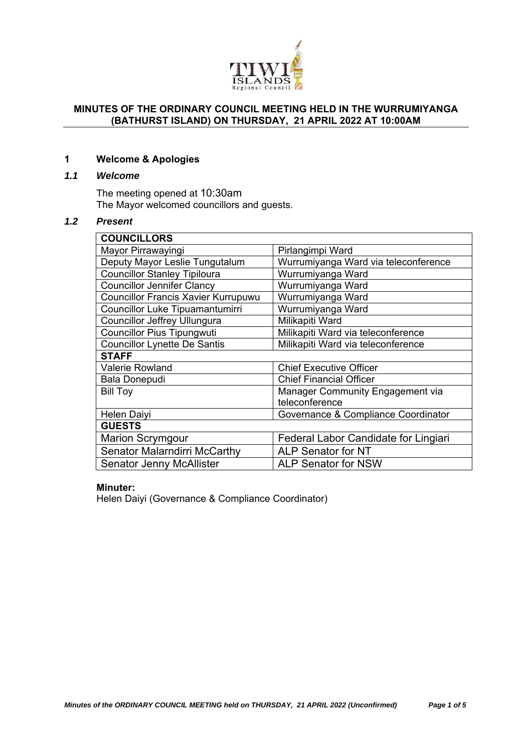

### **MINUTES OF THE ORDINARY COUNCIL MEETING HELD IN THE WURRUMIYANGA (BATHURST ISLAND) ON THURSDAY, 21 APRIL 2022 AT 10:00AM**

### **1 Welcome & Apologies**

## *1.1 Welcome*

The meeting opened at 10:30am The Mayor welcomed councillors and guests.

## *1.2 Present*

| <b>COUNCILLORS</b>                         |                                      |
|--------------------------------------------|--------------------------------------|
| Mayor Pirrawayingi                         | Pirlangimpi Ward                     |
| Deputy Mayor Leslie Tungutalum             | Wurrumiyanga Ward via teleconference |
| <b>Councillor Stanley Tipiloura</b>        | Wurrumiyanga Ward                    |
| <b>Councillor Jennifer Clancy</b>          | Wurrumiyanga Ward                    |
| <b>Councillor Francis Xavier Kurrupuwu</b> | Wurrumiyanga Ward                    |
| Councillor Luke Tipuamantumirri            | Wurrumiyanga Ward                    |
| Councillor Jeffrey Ullungura               | Milikapiti Ward                      |
| <b>Councillor Pius Tipungwuti</b>          | Milikapiti Ward via teleconference   |
| <b>Councillor Lynette De Santis</b>        | Milikapiti Ward via teleconference   |
| <b>STAFF</b>                               |                                      |
| <b>Valerie Rowland</b>                     | <b>Chief Executive Officer</b>       |
| <b>Bala Donepudi</b>                       | <b>Chief Financial Officer</b>       |
| <b>Bill Toy</b>                            | Manager Community Engagement via     |
|                                            | teleconference                       |
| <b>Helen Daiyi</b>                         | Governance & Compliance Coordinator  |
| <b>GUESTS</b>                              |                                      |
| <b>Marion Scrymgour</b>                    | Federal Labor Candidate for Lingiari |
| <b>Senator Malarndirri McCarthy</b>        | <b>ALP Senator for NT</b>            |
| <b>Senator Jenny McAllister</b>            | <b>ALP Senator for NSW</b>           |

# **Minuter:**

Helen Daiyi (Governance & Compliance Coordinator)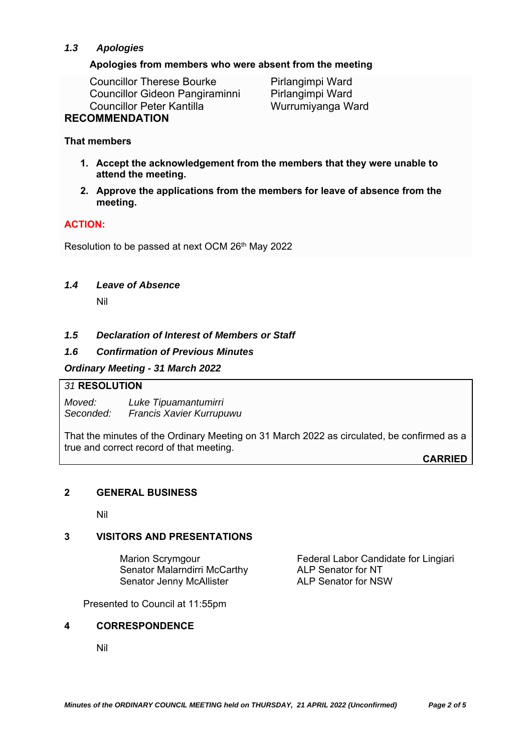# *1.3 Apologies*

### **Apologies from members who were absent from the meeting**

Councillor Therese Bourke Pirlangimpi Ward Councillor Gideon Pangiraminni Pirlangimpi Ward Councillor Peter Kantilla Wurrumiyanga Ward

# **RECOMMENDATION**

### **That members**

- **1. Accept the acknowledgement from the members that they were unable to attend the meeting.**
- **2. Approve the applications from the members for leave of absence from the meeting.**

# **ACTION:**

Resolution to be passed at next OCM 26th May 2022

### *1.4 Leave of Absence*

Nil

## *1.5 Declaration of Interest of Members or Staff*

### *1.6 Confirmation of Previous Minutes*

### *Ordinary Meeting - 31 March 2022*

#### *31* **RESOLUTION**

*Moved: Luke Tipuamantumirri Seconded: Francis Xavier Kurrupuwu* 

That the minutes of the Ordinary Meeting on 31 March 2022 as circulated, be confirmed as a true and correct record of that meeting.

**CARRIED**

## **2 GENERAL BUSINESS**

Nil

## **3 VISITORS AND PRESENTATIONS**

Senator Malarndirri McCarthy **ALP Senator for NT**<br>Senator Jenny McAllister **ALP Senator for NSW** Senator Jenny McAllister

Marion Scrymgour **Federal Labor Candidate for Lingiari** 

Presented to Council at 11:55pm

#### **4 CORRESPONDENCE**

Nil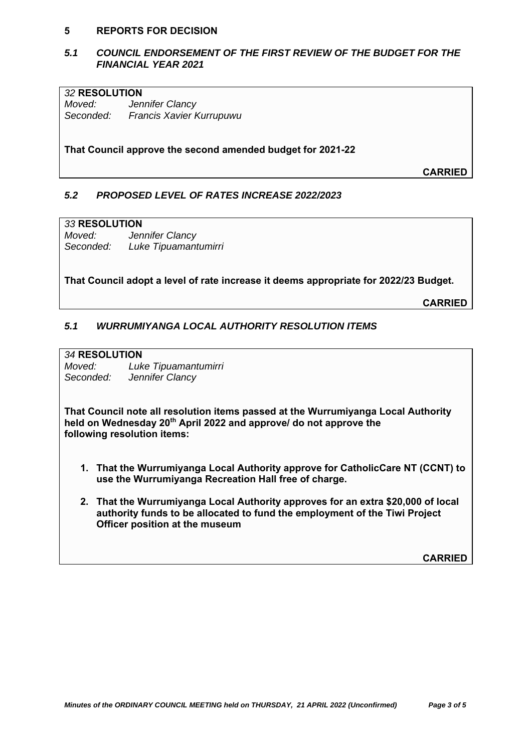#### **5 REPORTS FOR DECISION**

### *5.1 COUNCIL ENDORSEMENT OF THE FIRST REVIEW OF THE BUDGET FOR THE FINANCIAL YEAR 2021*

### *32* **RESOLUTION**

*Moved: Jennifer Clancy Seconded: Francis Xavier Kurrupuwu* 

**That Council approve the second amended budget for 2021-22**

**CARRIED**

### *5.2 PROPOSED LEVEL OF RATES INCREASE 2022/2023*

#### *33* **RESOLUTION**

*Moved: Jennifer Clancy Seconded: Luke Tipuamantumirri* 

**That Council adopt a level of rate increase it deems appropriate for 2022/23 Budget.** 

**CARRIED**

## *5.1 WURRUMIYANGA LOCAL AUTHORITY RESOLUTION ITEMS*

### *34* **RESOLUTION**

*Moved: Luke Tipuamantumirri Seconded: Jennifer Clancy* 

**That Council note all resolution items passed at the Wurrumiyanga Local Authority held on Wednesday 20th April 2022 and approve/ do not approve the following resolution items:** 

- **1. That the Wurrumiyanga Local Authority approve for CatholicCare NT (CCNT) to use the Wurrumiyanga Recreation Hall free of charge.**
- **2. That the Wurrumiyanga Local Authority approves for an extra \$20,000 of local authority funds to be allocated to fund the employment of the Tiwi Project Officer position at the museum**

**CARRIED**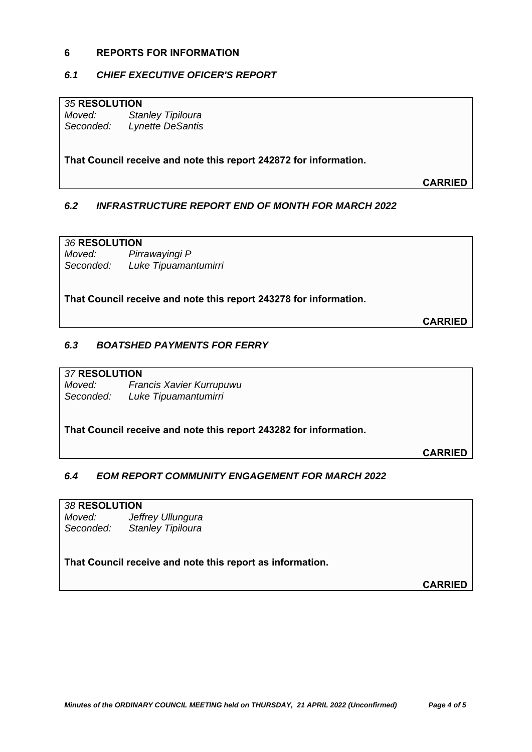### **6 REPORTS FOR INFORMATION**

## *6.1 CHIEF EXECUTIVE OFICER'S REPORT*

### *35* **RESOLUTION**

*Moved: Stanley Tipiloura Seconded: Lynette DeSantis* 

**That Council receive and note this report 242872 for information.**

**CARRIED**

# *6.2 INFRASTRUCTURE REPORT END OF MONTH FOR MARCH 2022*

### *36* **RESOLUTION**

*Moved: Pirrawayingi P Seconded: Luke Tipuamantumirri* 

**That Council receive and note this report 243278 for information.**

**CARRIED**

## *6.3 BOATSHED PAYMENTS FOR FERRY*

#### *37* **RESOLUTION**

*Moved: Francis Xavier Kurrupuwu Seconded: Luke Tipuamantumirri* 

**That Council receive and note this report 243282 for information.**

**CARRIED**

# *6.4 EOM REPORT COMMUNITY ENGAGEMENT FOR MARCH 2022*

### *38* **RESOLUTION**

*Moved: Jeffrey Ullungura Seconded: Stanley Tipiloura* 

## **That Council receive and note this report as information.**

**CARRIED**